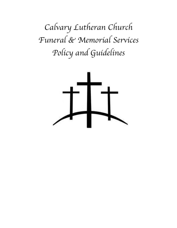*Calvary Lutheran Church Funeral & Memorial Services Policy and Guidelines*

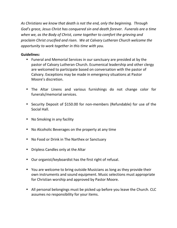As Christians we know that death is not the end, only the beginning. Through God's grace, Jesus Christ has conquered sin and death forever. Funerals are a time when we, as the Body of Christ, come together to comfort the grieving and *proclaim Christ crucified and risen. We at Calvary Lutheran Church welcome the opportunity to work together in this time with you.* 

#### **Guidelines:**

- Funeral and Memorial Services in our sanctuary are presided at by the pastor of Calvary Lutheran Church. Ecumenical leadership and other clergy are welcomed to participate based on conversation with the pastor of Calvary. Exceptions may be made in emergency situations at Pastor Moore's discretion.
- The Altar Linens and various furnishings do not change color for funerals/memorial services.
- Security Deposit of \$150.00 for non-members (Refundable) for use of the Social Hall.
- No Smoking in any facility
- No Alcoholic Beverages on the property at any time
- No Food or Drink in The Narthex or Sanctuary
- Dripless Candles only at the Altar
- Our organist/keyboardist has the first right of refusal.
- You are welcome to bring outside Musicians as long as they provide their own instruments and sound equipment. Music selections must appropriate for Christian worship and approved by Pastor Moore.
- All personal belongings must be picked up before you leave the Church. CLC assumes no responsibility for your items.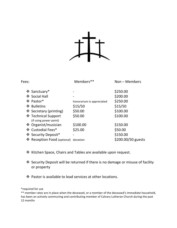

| Fees: |                                               | Members**                 | Non - Members      |
|-------|-----------------------------------------------|---------------------------|--------------------|
|       | ❖ Sanctuary*                                  |                           | \$250.00           |
|       | ❖ Social Hall                                 |                           | \$200.00           |
|       | ❖ Pastor*                                     | honorarium is appreciated | \$250.00           |
|       | ❖ Bulletins                                   | \$15/50                   | \$15/50            |
|       | ❖ Secretary (printing)                        | \$50.00                   | \$100.00           |
|       | ❖ Technical Support<br>(if using power point) | \$50.00                   | \$100.00           |
|       | ❖ Organist/musician                           | \$100.00                  | \$150.00           |
|       | ❖ Custodial Fees*                             | \$25.00                   | \$50.00            |
|       | ❖ Security Deposit*                           |                           | \$150.00           |
|       | ❖ Reception Food (optional) donation          |                           | \$200.00/50 guests |

- ❖ Kitchen Space, Chairs and Tables are available upon request.
- ◆ Security Deposit will be returned if there is no damage or misuse of facility or property
- $\div$  Pastor is available to lead services at other locations.

\*required for use

\*\* member rates are in place when the deceased, or a member of the deceased's immediate household, has been an actively communing and contributing member of Calvary Lutheran Church during the past 12 months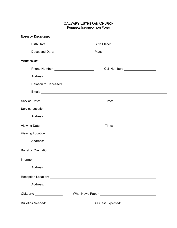#### **CALVARY LUTHERAN CHURCH FUNERAL INFORMATION FORM**

|                              | YOUR NAME: NAME: NAME OF THE SERVICE OF THE SERVICE OF THE SERVICE OF THE SERVICE OF THE SERVICE OF THE SERVICE OF THE SERVICE OF THE SERVICE OF THE SERVICE OF THE SERVICE OF THE SERVICE OF THE SERVICE OF THE SERVICE OF TH       |  |
|------------------------------|--------------------------------------------------------------------------------------------------------------------------------------------------------------------------------------------------------------------------------------|--|
|                              | Cell Number: ___________________                                                                                                                                                                                                     |  |
|                              |                                                                                                                                                                                                                                      |  |
|                              |                                                                                                                                                                                                                                      |  |
|                              |                                                                                                                                                                                                                                      |  |
|                              |                                                                                                                                                                                                                                      |  |
|                              |                                                                                                                                                                                                                                      |  |
|                              |                                                                                                                                                                                                                                      |  |
|                              |                                                                                                                                                                                                                                      |  |
|                              |                                                                                                                                                                                                                                      |  |
|                              |                                                                                                                                                                                                                                      |  |
|                              |                                                                                                                                                                                                                                      |  |
|                              |                                                                                                                                                                                                                                      |  |
|                              |                                                                                                                                                                                                                                      |  |
|                              | Reception Location: <u>contract the contract of the contract of the contract of the contract of the contract of the contract of the contract of the contract of the contract of the contract of the contract of the contract of </u> |  |
|                              |                                                                                                                                                                                                                                      |  |
| Obituary: __________________ |                                                                                                                                                                                                                                      |  |
|                              | # Guest Expected: _______________________                                                                                                                                                                                            |  |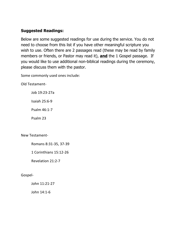## **Suggested Readings:**

Below are some suggested readings for use during the service. You do not need to choose from this list if you have other meaningful scripture you wish to use. Often there are 2 passages read (these may be read by family members or friends, or Pastor may read it), **and** the 1 Gospel passage. If you would like to use additional non-biblical readings during the ceremony, please discuss them with the pastor.

Some commonly used ones include:

Old Testament-

Job 19:23-27a

Isaiah 25:6-9

Psalm 46:1-7

Psalm 23

New Testament-

Romans 8:31-35, 37-39

1 Corinthians 15:12-26

Revelation 21:2-7

Gospel-

John 11:21-27

John 14:1-6